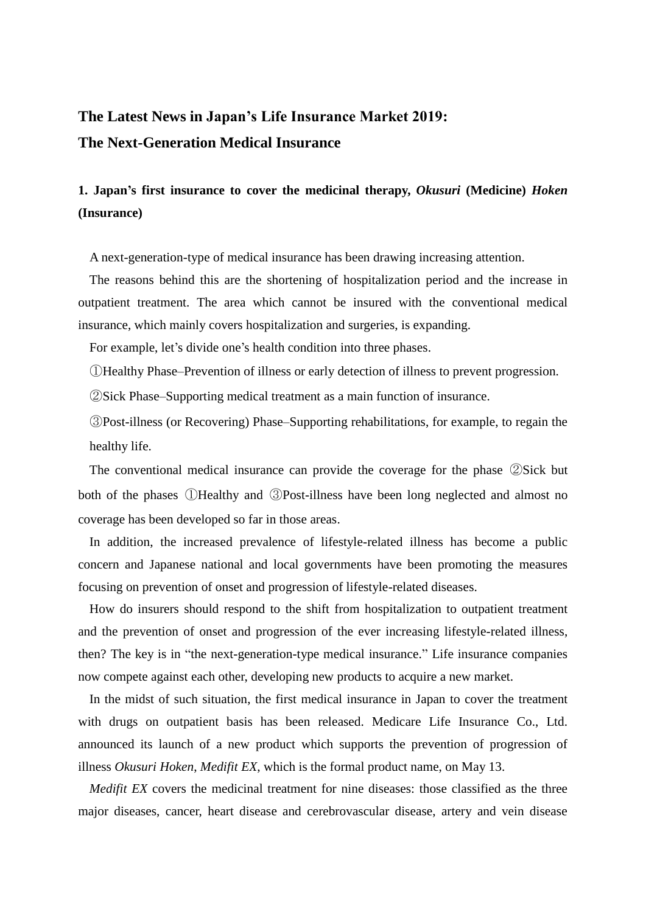## **The Latest News in Japan's Life Insurance Market 2019: The Next-Generation Medical Insurance**

## **1. Japan's first insurance to cover the medicinal therapy,** *Okusuri* **(Medicine)** *Hoken* **(Insurance)**

A next-generation-type of medical insurance has been drawing increasing attention.

The reasons behind this are the shortening of hospitalization period and the increase in outpatient treatment. The area which cannot be insured with the conventional medical insurance, which mainly covers hospitalization and surgeries, is expanding.

For example, let's divide one's health condition into three phases.

①Healthy Phase–Prevention of illness or early detection of illness to prevent progression.

②Sick Phase–Supporting medical treatment as a main function of insurance.

③Post-illness (or Recovering) Phase–Supporting rehabilitations, for example, to regain the healthy life.

The conventional medical insurance can provide the coverage for the phase ②Sick but both of the phases ①Healthy and ③Post-illness have been long neglected and almost no coverage has been developed so far in those areas.

In addition, the increased prevalence of lifestyle-related illness has become a public concern and Japanese national and local governments have been promoting the measures focusing on prevention of onset and progression of lifestyle-related diseases.

How do insurers should respond to the shift from hospitalization to outpatient treatment and the prevention of onset and progression of the ever increasing lifestyle-related illness, then? The key is in "the next-generation-type medical insurance." Life insurance companies now compete against each other, developing new products to acquire a new market.

In the midst of such situation, the first medical insurance in Japan to cover the treatment with drugs on outpatient basis has been released. Medicare Life Insurance Co., Ltd. announced its launch of a new product which supports the prevention of progression of illness *Okusuri Hoken*, *Medifit EX*, which is the formal product name, on May 13.

*Medifit EX* covers the medicinal treatment for nine diseases: those classified as the three major diseases, cancer, heart disease and cerebrovascular disease, artery and vein disease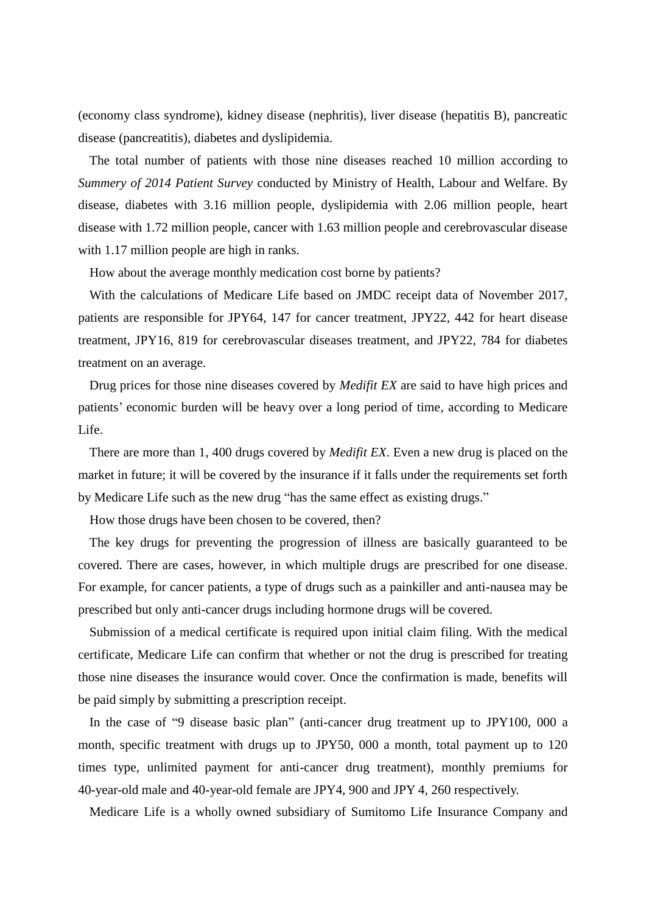(economy class syndrome), kidney disease (nephritis), liver disease (hepatitis B), pancreatic disease (pancreatitis), diabetes and dyslipidemia.

The total number of patients with those nine diseases reached 10 million according to *Summery of 2014 Patient Survey* conducted by Ministry of Health, Labour and Welfare. By disease, diabetes with 3.16 million people, dyslipidemia with 2.06 million people, heart disease with 1.72 million people, cancer with 1.63 million people and cerebrovascular disease with 1.17 million people are high in ranks.

How about the average monthly medication cost borne by patients?

With the calculations of Medicare Life based on JMDC receipt data of November 2017, patients are responsible for JPY64, 147 for cancer treatment, JPY22, 442 for heart disease treatment, JPY16, 819 for cerebrovascular diseases treatment, and JPY22, 784 for diabetes treatment on an average.

Drug prices for those nine diseases covered by *Medifit EX* are said to have high prices and patients' economic burden will be heavy over a long period of time, according to Medicare Life.

There are more than 1, 400 drugs covered by *Medifit EX*. Even a new drug is placed on the market in future; it will be covered by the insurance if it falls under the requirements set forth by Medicare Life such as the new drug "has the same effect as existing drugs."

How those drugs have been chosen to be covered, then?

The key drugs for preventing the progression of illness are basically guaranteed to be covered. There are cases, however, in which multiple drugs are prescribed for one disease. For example, for cancer patients, a type of drugs such as a painkiller and anti-nausea may be prescribed but only anti-cancer drugs including hormone drugs will be covered.

Submission of a medical certificate is required upon initial claim filing. With the medical certificate, Medicare Life can confirm that whether or not the drug is prescribed for treating those nine diseases the insurance would cover. Once the confirmation is made, benefits will be paid simply by submitting a prescription receipt.

In the case of "9 disease basic plan" (anti-cancer drug treatment up to JPY100, 000 a month, specific treatment with drugs up to JPY50, 000 a month, total payment up to 120 times type, unlimited payment for anti-cancer drug treatment), monthly premiums for 40-year-old male and 40-year-old female are JPY4, 900 and JPY 4, 260 respectively.

Medicare Life is a wholly owned subsidiary of Sumitomo Life Insurance Company and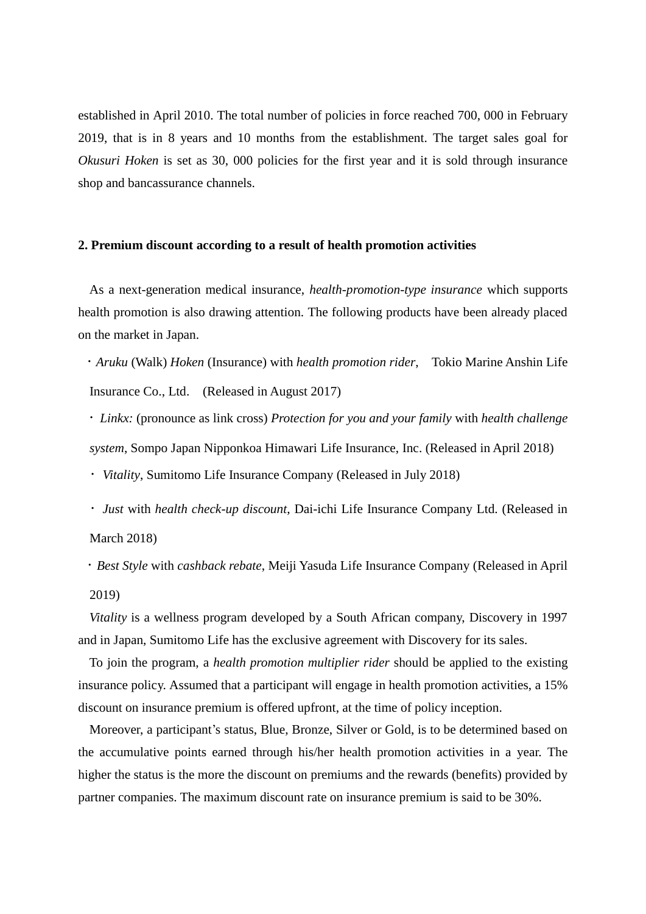established in April 2010. The total number of policies in force reached 700, 000 in February 2019, that is in 8 years and 10 months from the establishment. The target sales goal for *Okusuri Hoken* is set as 30, 000 policies for the first year and it is sold through insurance shop and bancassurance channels.

## **2. Premium discount according to a result of health promotion activities**

As a next-generation medical insurance, *health-promotion-type insurance* which supports health promotion is also drawing attention. The following products have been already placed on the market in Japan.

・*Aruku* (Walk) *Hoken* (Insurance) with *health promotion rider*, Tokio Marine Anshin Life Insurance Co., Ltd. (Released in August 2017)

・*Linkx:* (pronounce as link cross) *Protection for you and your family* with *health challenge system*, Sompo Japan Nipponkoa Himawari Life Insurance, Inc. (Released in April 2018)

・*Vitality*, Sumitomo Life Insurance Company (Released in July 2018)

・*Just* with *health check-up discount*, Dai-ichi Life Insurance Company Ltd. (Released in March 2018)

・*Best Style* with *cashback rebate*, Meiji Yasuda Life Insurance Company (Released in April 2019)

*Vitality* is a wellness program developed by a South African company, Discovery in 1997 and in Japan, Sumitomo Life has the exclusive agreement with Discovery for its sales.

To join the program, a *health promotion multiplier rider* should be applied to the existing insurance policy. Assumed that a participant will engage in health promotion activities, a 15% discount on insurance premium is offered upfront, at the time of policy inception.

Moreover, a participant's status, Blue, Bronze, Silver or Gold, is to be determined based on the accumulative points earned through his/her health promotion activities in a year. The higher the status is the more the discount on premiums and the rewards (benefits) provided by partner companies. The maximum discount rate on insurance premium is said to be 30%.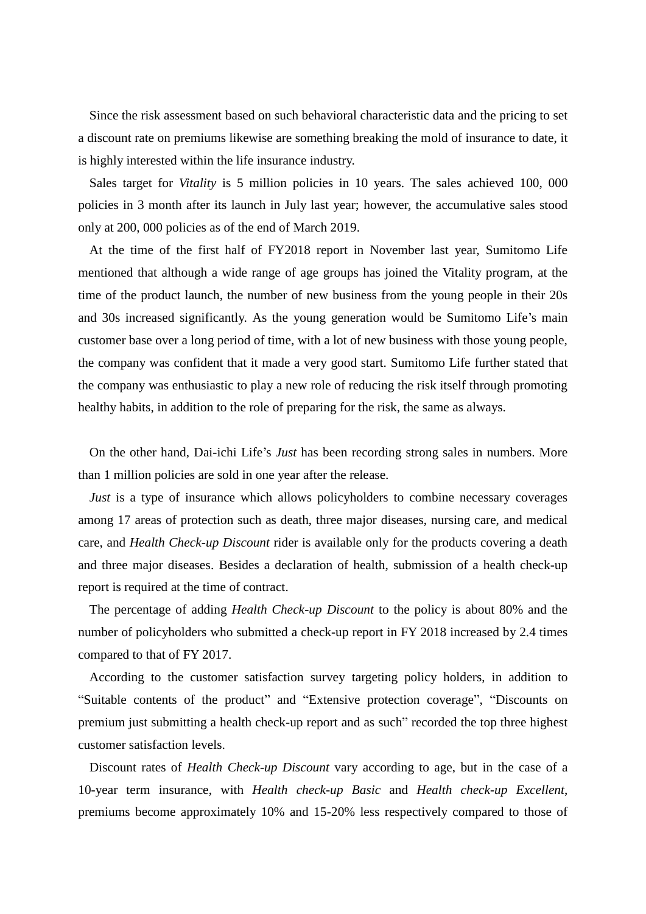Since the risk assessment based on such behavioral characteristic data and the pricing to set a discount rate on premiums likewise are something breaking the mold of insurance to date, it is highly interested within the life insurance industry.

Sales target for *Vitality* is 5 million policies in 10 years. The sales achieved 100, 000 policies in 3 month after its launch in July last year; however, the accumulative sales stood only at 200, 000 policies as of the end of March 2019.

At the time of the first half of FY2018 report in November last year, Sumitomo Life mentioned that although a wide range of age groups has joined the Vitality program, at the time of the product launch, the number of new business from the young people in their 20s and 30s increased significantly. As the young generation would be Sumitomo Life's main customer base over a long period of time, with a lot of new business with those young people, the company was confident that it made a very good start. Sumitomo Life further stated that the company was enthusiastic to play a new role of reducing the risk itself through promoting healthy habits, in addition to the role of preparing for the risk, the same as always.

On the other hand, Dai-ichi Life's *Just* has been recording strong sales in numbers. More than 1 million policies are sold in one year after the release.

*Just* is a type of insurance which allows policyholders to combine necessary coverages among 17 areas of protection such as death, three major diseases, nursing care, and medical care, and *Health Check-up Discount* rider is available only for the products covering a death and three major diseases. Besides a declaration of health, submission of a health check-up report is required at the time of contract.

The percentage of adding *Health Check-up Discount* to the policy is about 80% and the number of policyholders who submitted a check-up report in FY 2018 increased by 2.4 times compared to that of FY 2017.

According to the customer satisfaction survey targeting policy holders, in addition to "Suitable contents of the product" and "Extensive protection coverage", "Discounts on premium just submitting a health check-up report and as such" recorded the top three highest customer satisfaction levels.

Discount rates of *Health Check-up Discount* vary according to age, but in the case of a 10-year term insurance, with *Health check-up Basic* and *Health check-up Excellent*, premiums become approximately 10% and 15-20% less respectively compared to those of